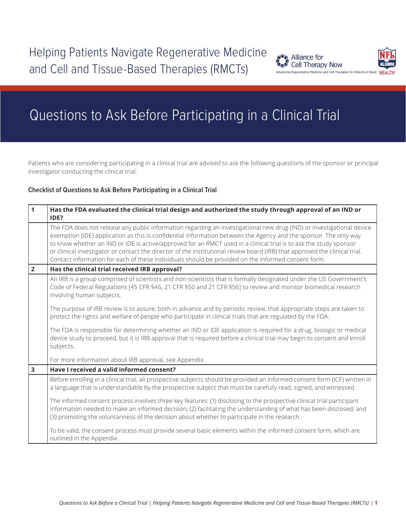

# Questions to Ask Before Participating in a Clinical Trial

Patients who are considering participating in a clinical trial are advised to ask the following questions of the sponsor or principal investigator conducting the clinical trial.

### **Checklist of Questions to Ask Before Participating in a Clinical Trial**

| $\mathbf{1}$            | Has the FDA evaluated the clinical trial design and authorized the study through approval of an IND or<br>IDE?                                                                                                                                                                                                                                                                                                                                                                                                                                                                                     |
|-------------------------|----------------------------------------------------------------------------------------------------------------------------------------------------------------------------------------------------------------------------------------------------------------------------------------------------------------------------------------------------------------------------------------------------------------------------------------------------------------------------------------------------------------------------------------------------------------------------------------------------|
|                         | The FDA does not release any public information regarding an investigational new drug (IND) or investigational device<br>exemption (IDE) application as this is confidential information between the Agency and the sponsor. The only way<br>to know whether an IND or IDE is active/approved for an RMCT used in a clinical trial is to ask the study sponsor<br>or clinical investigator or contact the director of the institutional review board (IRB) that approved the clinical trial.<br>Contact information for each of these individuals should be provided on the informed consent form. |
| $\overline{2}$          | Has the clinical trial received IRB approval?                                                                                                                                                                                                                                                                                                                                                                                                                                                                                                                                                      |
|                         | An IRB is a group comprised of scientists and non-scientists that is formally designated under the US Government's<br>Code of Federal Regulations [45 CFR §46, 21 CFR §50 and 21 CFR §56] to review and monitor biomedical research<br>involving human subjects.                                                                                                                                                                                                                                                                                                                                   |
|                         | The purpose of IRB review is to assure, both in advance and by periodic review, that appropriate steps are taken to<br>protect the rights and welfare of people who participate in clinical trials that are regulated by the FDA.                                                                                                                                                                                                                                                                                                                                                                  |
|                         | The FDA is responsible for determining whether an IND or IDE application is required for a drug, biologic or medical<br>device study to proceed, but it is IRB approval that is required before a clinical trial may begin to consent and enroll<br>subjects.                                                                                                                                                                                                                                                                                                                                      |
|                         | For more information about IRB approval, see Appendix.                                                                                                                                                                                                                                                                                                                                                                                                                                                                                                                                             |
| $\overline{\mathbf{3}}$ | Have I received a valid informed consent?                                                                                                                                                                                                                                                                                                                                                                                                                                                                                                                                                          |
|                         | Before enrolling in a clinical trial, all prospective subjects should be provided an informed consent form (ICF) written in<br>a language that is understandable by the prospective subject that must be carefully read, signed, and witnessed.                                                                                                                                                                                                                                                                                                                                                    |
|                         | The informed consent process involves three key features: (1) disclosing to the prospective clinical trial participant<br>information needed to make an informed decision; (2) facilitating the understanding of what has been disclosed; and<br>(3) promoting the voluntariness of the decision about whether to participate in the research.                                                                                                                                                                                                                                                     |
|                         | To be valid, the consent process must provide several basic elements within the informed consent form, which are<br>outlined in the Appendix.                                                                                                                                                                                                                                                                                                                                                                                                                                                      |